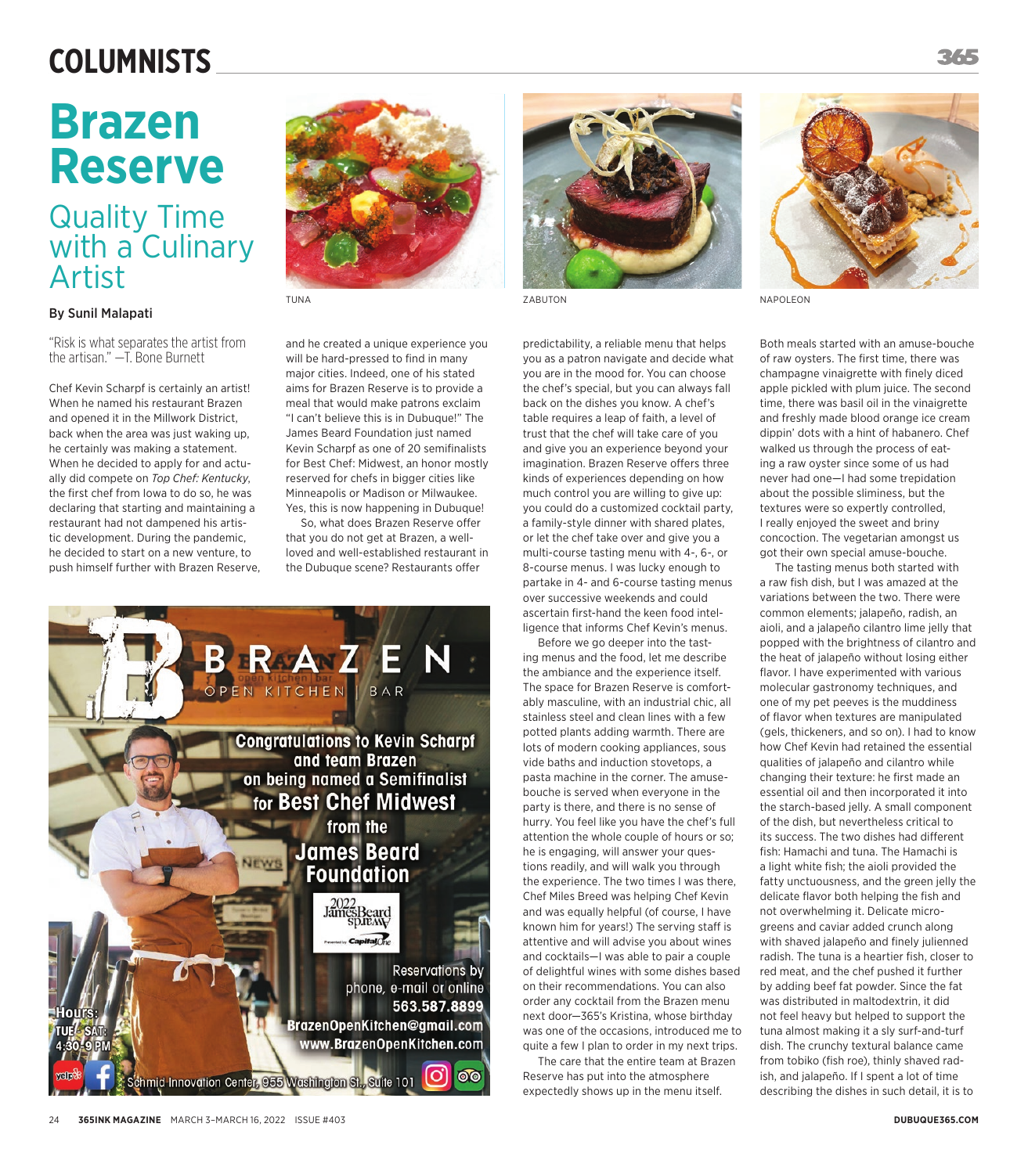## **COLUMNISTS**

# **Brazen Reserve**

### Quality Time with a Culinary Artist

### By Sunil Malapati

"Risk is what separates the artist from the artisan." —T. Bone Burnett

Chef Kevin Scharpf is certainly an artist! When he named his restaurant Brazen and opened it in the Millwork District, back when the area was just waking up, he certainly was making a statement. When he decided to apply for and actually did compete on *Top Chef: Kentucky*, the first chef from Iowa to do so, he was declaring that starting and maintaining a restaurant had not dampened his artistic development. During the pandemic, he decided to start on a new venture, to push himself further with Brazen Reserve,



and he created a unique experience you will be hard-pressed to find in many major cities. Indeed, one of his stated aims for Brazen Reserve is to provide a meal that would make patrons exclaim "I can't believe this is in Dubuque!" The James Beard Foundation just named Kevin Scharpf as one of 20 semifinalists for Best Chef: Midwest, an honor mostly reserved for chefs in bigger cities like Minneapolis or Madison or Milwaukee. Yes, this is now happening in Dubuque!

So, what does Brazen Reserve offer that you do not get at Brazen, a wellloved and well-established restaurant in the Dubuque scene? Restaurants offer





predictability, a reliable menu that helps you as a patron navigate and decide what you are in the mood for. You can choose the chef's special, but you can always fall back on the dishes you know. A chef's table requires a leap of faith, a level of trust that the chef will take care of you and give you an experience beyond your imagination. Brazen Reserve offers three kinds of experiences depending on how much control you are willing to give up: you could do a customized cocktail party, a family-style dinner with shared plates, or let the chef take over and give you a multi-course tasting menu with 4-, 6-, or 8-course menus. I was lucky enough to partake in 4- and 6-course tasting menus over successive weekends and could ascertain first-hand the keen food intelligence that informs Chef Kevin's menus.

Before we go deeper into the tasting menus and the food, let me describe the ambiance and the experience itself. The space for Brazen Reserve is comfortably masculine, with an industrial chic, all stainless steel and clean lines with a few potted plants adding warmth. There are lots of modern cooking appliances, sous vide baths and induction stovetops, a pasta machine in the corner. The amusebouche is served when everyone in the party is there, and there is no sense of hurry. You feel like you have the chef's full attention the whole couple of hours or so; he is engaging, will answer your questions readily, and will walk you through the experience. The two times I was there, Chef Miles Breed was helping Chef Kevin and was equally helpful (of course, I have known him for years!) The serving staff is attentive and will advise you about wines and cocktails—I was able to pair a couple of delightful wines with some dishes based on their recommendations. You can also order any cocktail from the Brazen menu next door—365's Kristina, whose birthday was one of the occasions, introduced me to quite a few I plan to order in my next trips.

The care that the entire team at Brazen Reserve has put into the atmosphere expectedly shows up in the menu itself.



TUNA ZABUTON NAPOLEON

Both meals started with an amuse-bouche of raw oysters. The first time, there was champagne vinaigrette with finely diced apple pickled with plum juice. The second time, there was basil oil in the vinaigrette and freshly made blood orange ice cream dippin' dots with a hint of habanero. Chef walked us through the process of eating a raw oyster since some of us had never had one—I had some trepidation about the possible sliminess, but the textures were so expertly controlled, I really enjoyed the sweet and briny concoction. The vegetarian amongst us got their own special amuse-bouche.

The tasting menus both started with a raw fish dish, but I was amazed at the variations between the two. There were common elements; jalapeño, radish, an aioli, and a jalapeño cilantro lime jelly that popped with the brightness of cilantro and the heat of jalapeño without losing either flavor. I have experimented with various molecular gastronomy techniques, and one of my pet peeves is the muddiness of flavor when textures are manipulated (gels, thickeners, and so on). I had to know how Chef Kevin had retained the essential qualities of jalapeño and cilantro while changing their texture: he first made an essential oil and then incorporated it into the starch-based jelly. A small component of the dish, but nevertheless critical to its success. The two dishes had different fish: Hamachi and tuna. The Hamachi is a light white fish; the aioli provided the fatty unctuousness, and the green jelly the delicate flavor both helping the fish and not overwhelming it. Delicate microgreens and caviar added crunch along with shaved jalapeño and finely julienned radish. The tuna is a heartier fish, closer to red meat, and the chef pushed it further by adding beef fat powder. Since the fat was distributed in maltodextrin, it did not feel heavy but helped to support the tuna almost making it a sly surf-and-turf dish. The crunchy textural balance came from tobiko (fish roe), thinly shaved radish, and jalapeño. If I spent a lot of time describing the dishes in such detail, it is to